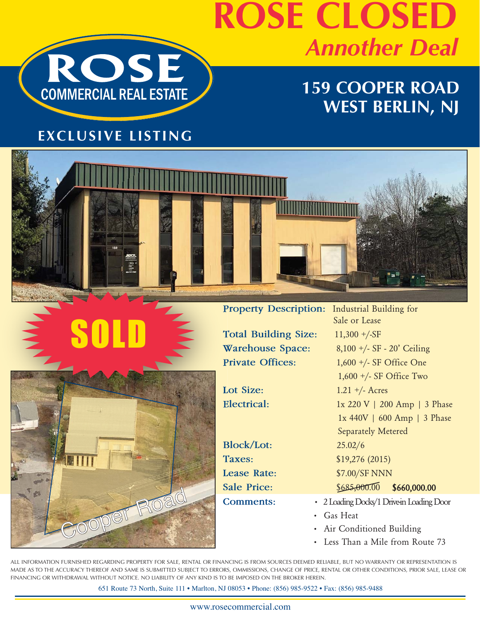

## **ROSE CLOSED** *Annother Deal*

## **159 COOPER ROAD WEST BERLIN, NJ**

### **EXCLUSIVE LISTING**





SOLD

Total Building Size: 11,300 +/-SF **Warehouse Space:** 8,100 +/- SF - 20' Ceiling **Private Offices:** 1,600 +/- SF Office One

**Block/Lot:** 25.02/6

**Property Description:** Industrial Building for Sale or Lease 1,600 +/- SF Office Two **Lot Size:** 1.21 +/- Acres **Electrical:** 1x 220 V | 200 Amp | 3 Phase 1x 440V | 600 Amp | 3 Phase Separately Metered **Taxes:** \$19,276 (2015) Lease Rate: \$7.00/SF NNN Sale Price: \$685,000.00 \$660,000.00 **Comments:** • 2 Loading Docks/1 Drive-in Loading Door

- Gas Heat
- 
- Less Than a Mile from Route 73

ALL INFORMATION FURNISHED REGARDING PROPERTY FOR SALE, RENTAL OR FINANCING IS FROM SOURCES DEEMED RELIABLE, BUT NO WARRANTY OR REPRESENTATION IS MADE AS TO THE ACCURACY THEREOF AND SAME IS SUBMITTED SUBJECT TO ERRORS, OMMISSIONS, CHANGE OF PRICE, RENTAL OR OTHER CONDITIONS, PRIOR SALE, LEASE OR FINANCING OR WITHDRAWAL WITHOUT NOTICE. NO LIABILITY OF ANY KIND IS TO BE IMPOSED ON THE BROKER HEREIN.

651 Route 73 North, Suite 111 • Marlton, NJ 08053 • Phone: (856) 985-9522 • Fax: (856) 985-9488